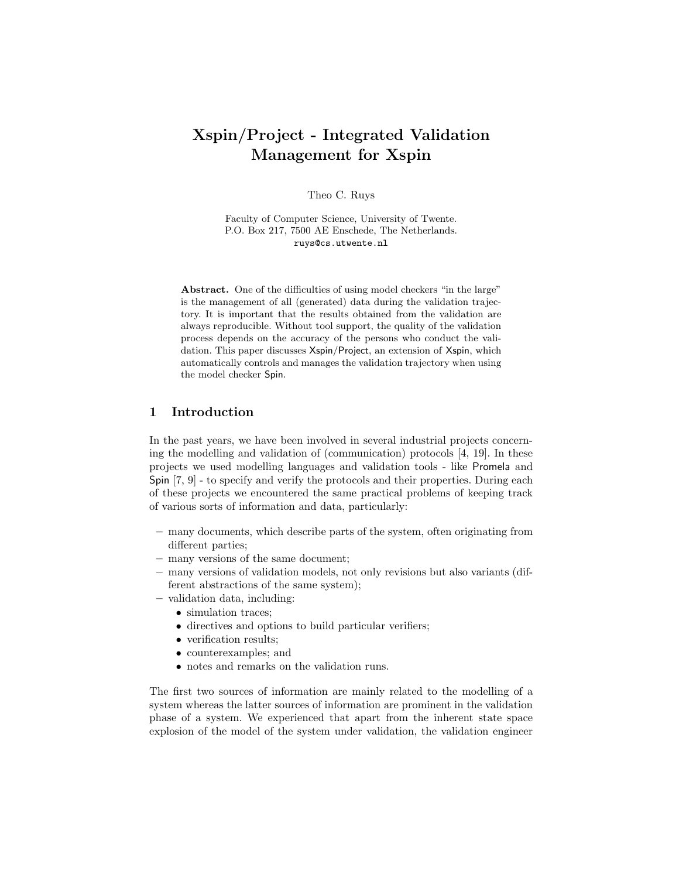# **Xspin/Project - Integrated Validation Management for Xspin**

Theo C. Ruys

Faculty of Computer Science, University of Twente. P.O. Box 217, 7500 AE Enschede, The Netherlands. ruys@cs.utwente.nl

Abstract. One of the difficulties of using model checkers "in the large" is the management of all (generated) data during the validation trajectory. It is important that the results obtained from the validation are always reproducible. Without tool support, the quality of the validation process depends on the accuracy of the persons who conduct the validation. This paper discusses Xspin/Project, an extension of Xspin, which automatically controls and manages the validation trajectory when using the model checker Spin.

# **1 Introduction**

In the past years, we have been involved in several industrial projects concerning the modelling and validation of (communication) protocols [4, 19]. In these projects we used modelling languages and validation tools - like Promela and Spin [7, 9] - to specify and verify the protocols and their properties. During each of these projects we encountered the same practical problems of keeping track of various sorts of information and data, particularly:

- **–** many documents, which describe parts of the system, often originating from different parties;
- **–** many versions of the same document;
- **–** many versions of validation models, not only revisions but also variants (different abstractions of the same system);
- **–** validation data, including:
	- simulation traces;
	- directives and options to build particular verifiers;
	- verification results;
	- counterexamples; and
	- notes and remarks on the validation runs.

The first two sources of information are mainly related to the modelling of a system whereas the latter sources of information are prominent in the validation phase of a system. We experienced that apart from the inherent state space explosion of the model of the system under validation, the validation engineer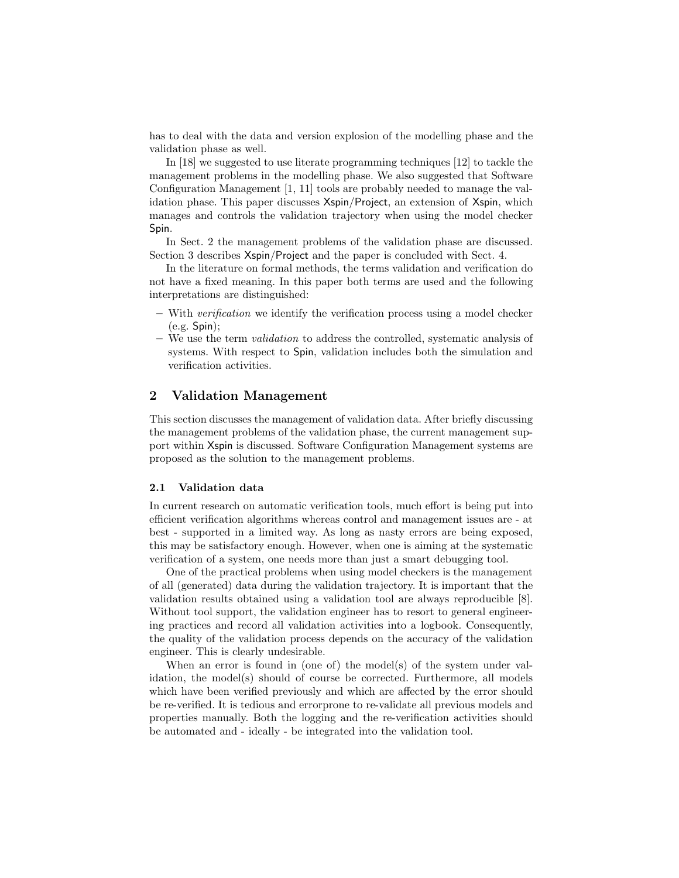has to deal with the data and version explosion of the modelling phase and the validation phase as well.

In [18] we suggested to use literate programming techniques [12] to tackle the management problems in the modelling phase. We also suggested that Software Configuration Management [1, 11] tools are probably needed to manage the validation phase. This paper discusses Xspin/Project, an extension of Xspin, which manages and controls the validation trajectory when using the model checker Spin.

In Sect. 2 the management problems of the validation phase are discussed. Section 3 describes Xspin/Project and the paper is concluded with Sect. 4.

In the literature on formal methods, the terms validation and verification do not have a fixed meaning. In this paper both terms are used and the following interpretations are distinguished:

- **–** With verification we identify the verification process using a model checker  $(e.g.$  Spin $):$
- **–** We use the term validation to address the controlled, systematic analysis of systems. With respect to Spin, validation includes both the simulation and verification activities.

## **2 Validation Management**

This section discusses the management of validation data. After briefly discussing the management problems of the validation phase, the current management support within Xspin is discussed. Software Configuration Management systems are proposed as the solution to the management problems.

#### **2.1 Validation data**

In current research on automatic verification tools, much effort is being put into efficient verification algorithms whereas control and management issues are - at best - supported in a limited way. As long as nasty errors are being exposed, this may be satisfactory enough. However, when one is aiming at the systematic verification of a system, one needs more than just a smart debugging tool.

One of the practical problems when using model checkers is the management of all (generated) data during the validation trajectory. It is important that the validation results obtained using a validation tool are always reproducible [8]. Without tool support, the validation engineer has to resort to general engineering practices and record all validation activities into a logbook. Consequently, the quality of the validation process depends on the accuracy of the validation engineer. This is clearly undesirable.

When an error is found in (one of) the model(s) of the system under validation, the model(s) should of course be corrected. Furthermore, all models which have been verified previously and which are affected by the error should be re-verified. It is tedious and errorprone to re-validate all previous models and properties manually. Both the logging and the re-verification activities should be automated and - ideally - be integrated into the validation tool.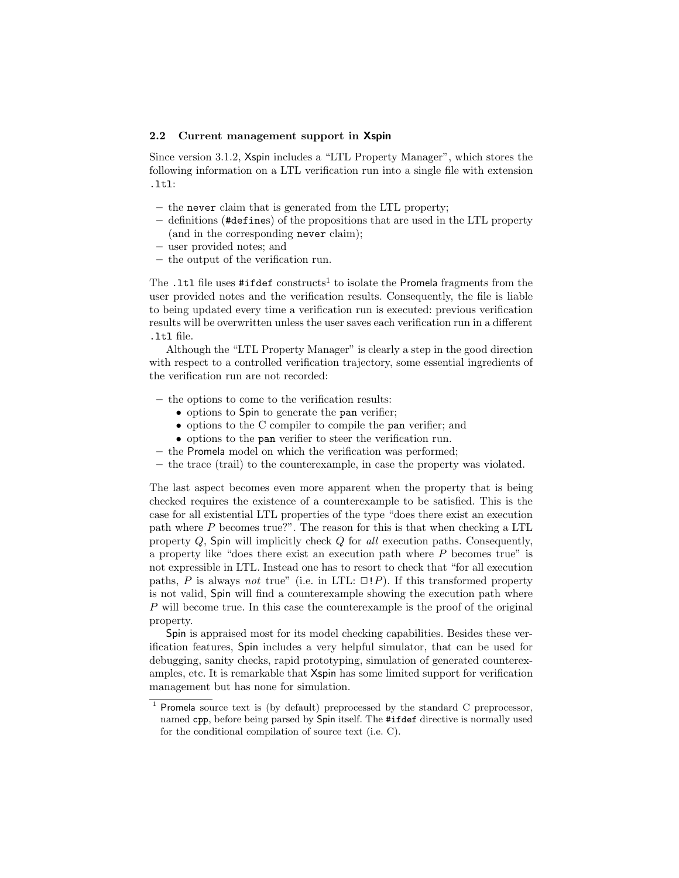#### **2.2 Current management support in Xspin**

Since version 3.1.2, Xspin includes a "LTL Property Manager", which stores the following information on a LTL verification run into a single file with extension .ltl:

- **–** the never claim that is generated from the LTL property;
- **–** definitions (#defines) of the propositions that are used in the LTL property (and in the corresponding never claim);
- **–** user provided notes; and
- **–** the output of the verification run.

The .1t1 file uses #ifdef  $constructs<sup>1</sup>$  to isolate the Promela fragments from the user provided notes and the verification results. Consequently, the file is liable to being updated every time a verification run is executed: previous verification results will be overwritten unless the user saves each verification run in a different .ltl file.

Although the "LTL Property Manager" is clearly a step in the good direction with respect to a controlled verification trajectory, some essential ingredients of the verification run are not recorded:

- **–** the options to come to the verification results:
	- options to Spin to generate the pan verifier;
	- options to the C compiler to compile the pan verifier; and
	- options to the pan verifier to steer the verification run.
- **–** the Promela model on which the verification was performed;
- **–** the trace (trail) to the counterexample, in case the property was violated.

The last aspect becomes even more apparent when the property that is being checked requires the existence of a counterexample to be satisfied. This is the case for all existential LTL properties of the type "does there exist an execution path where  $P$  becomes true?". The reason for this is that when checking a LTL property  $Q$ , Spin will implicitly check  $Q$  for all execution paths. Consequently, a property like "does there exist an execution path where P becomes true" is not expressible in LTL. Instead one has to resort to check that "for all execution paths, P is always not true" (i.e. in LTL:  $\square$ !P). If this transformed property is not valid, Spin will find a counterexample showing the execution path where  $P$  will become true. In this case the counterexample is the proof of the original property.

Spin is appraised most for its model checking capabilities. Besides these verification features, Spin includes a very helpful simulator, that can be used for debugging, sanity checks, rapid prototyping, simulation of generated counterexamples, etc. It is remarkable that Xspin has some limited support for verification management but has none for simulation.

<sup>1</sup> Promela source text is (by default) preprocessed by the standard C preprocessor, named cpp, before being parsed by Spin itself. The #ifdef directive is normally used for the conditional compilation of source text (i.e. C).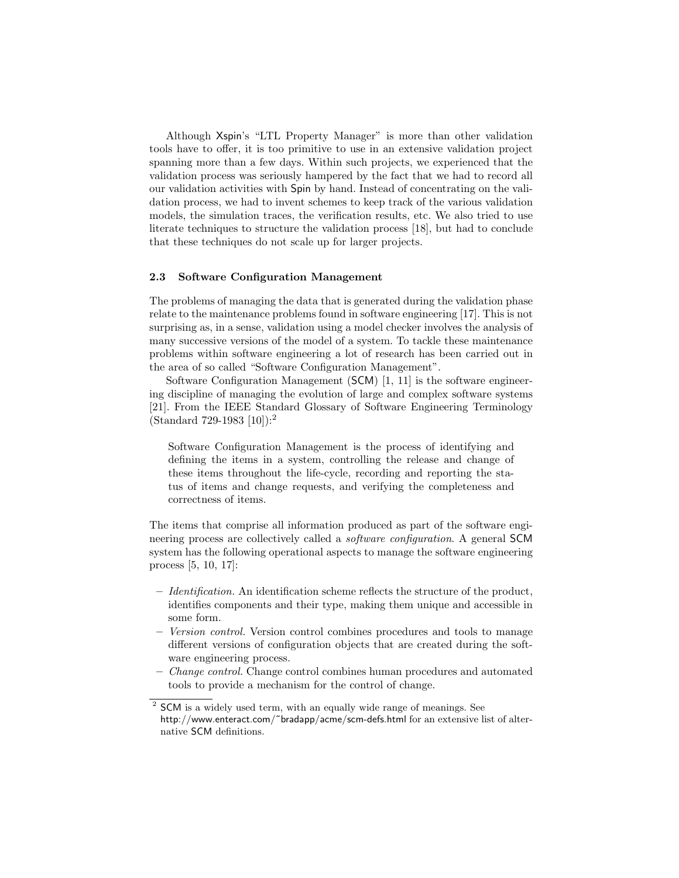Although Xspin's "LTL Property Manager" is more than other validation tools have to offer, it is too primitive to use in an extensive validation project spanning more than a few days. Within such projects, we experienced that the validation process was seriously hampered by the fact that we had to record all our validation activities with Spin by hand. Instead of concentrating on the validation process, we had to invent schemes to keep track of the various validation models, the simulation traces, the verification results, etc. We also tried to use literate techniques to structure the validation process [18], but had to conclude that these techniques do not scale up for larger projects.

#### **2.3 Software Configuration Management**

The problems of managing the data that is generated during the validation phase relate to the maintenance problems found in software engineering [17]. This is not surprising as, in a sense, validation using a model checker involves the analysis of many successive versions of the model of a system. To tackle these maintenance problems within software engineering a lot of research has been carried out in the area of so called "Software Configuration Management".

Software Configuration Management  $(SCM)$  [1, 11] is the software engineering discipline of managing the evolution of large and complex software systems [21]. From the IEEE Standard Glossary of Software Engineering Terminology (Standard 729-1983 [10]):<sup>2</sup>

Software Configuration Management is the process of identifying and defining the items in a system, controlling the release and change of these items throughout the life-cycle, recording and reporting the status of items and change requests, and verifying the completeness and correctness of items.

The items that comprise all information produced as part of the software engineering process are collectively called a *software configuration*. A general SCM system has the following operational aspects to manage the software engineering process [5, 10, 17]:

- **–** Identification. An identification scheme reflects the structure of the product, identifies components and their type, making them unique and accessible in some form.
- **–** Version control. Version control combines procedures and tools to manage different versions of configuration objects that are created during the software engineering process.
- **–** Change control. Change control combines human procedures and automated tools to provide a mechanism for the control of change.

<sup>2</sup> SCM is a widely used term, with an equally wide range of meanings. See http://www.enteract.com/˜bradapp/acme/scm-defs.html for an extensive list of alternative SCM definitions.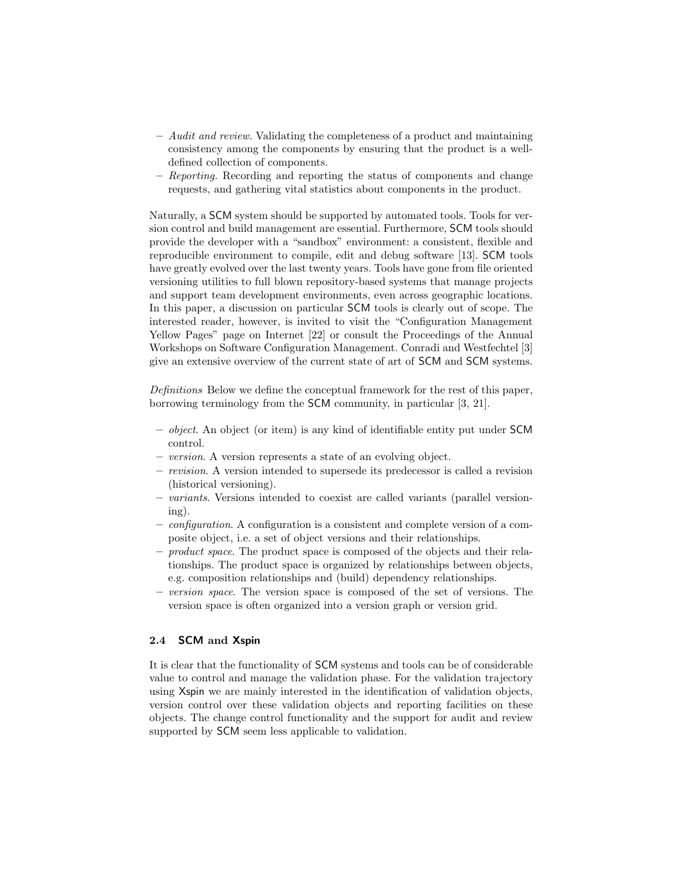- **–** Audit and review. Validating the completeness of a product and maintaining consistency among the components by ensuring that the product is a welldefined collection of components.
- **–** Reporting. Recording and reporting the status of components and change requests, and gathering vital statistics about components in the product.

Naturally, a SCM system should be supported by automated tools. Tools for version control and build management are essential. Furthermore, SCM tools should provide the developer with a "sandbox" environment: a consistent, flexible and reproducible environment to compile, edit and debug software [13]. SCM tools have greatly evolved over the last twenty years. Tools have gone from file oriented versioning utilities to full blown repository-based systems that manage projects and support team development environments, even across geographic locations. In this paper, a discussion on particular SCM tools is clearly out of scope. The interested reader, however, is invited to visit the "Configuration Management Yellow Pages" page on Internet [22] or consult the Proceedings of the Annual Workshops on Software Configuration Management. Conradi and Westfechtel [3] give an extensive overview of the current state of art of SCM and SCM systems.

Definitions Below we define the conceptual framework for the rest of this paper, borrowing terminology from the SCM community, in particular [3, 21].

- **–** object. An object (or item) is any kind of identifiable entity put under SCM control.
- **–** version. A version represents a state of an evolving object.
- **–** revision. A version intended to supersede its predecessor is called a revision (historical versioning).
- **–** variants. Versions intended to coexist are called variants (parallel versioning).
- **–** configuration. A configuration is a consistent and complete version of a composite object, i.e. a set of object versions and their relationships.
- **–** product space. The product space is composed of the objects and their relationships. The product space is organized by relationships between objects, e.g. composition relationships and (build) dependency relationships.
- **–** version space. The version space is composed of the set of versions. The version space is often organized into a version graph or version grid.

## **2.4 SCM and Xspin**

It is clear that the functionality of SCM systems and tools can be of considerable value to control and manage the validation phase. For the validation trajectory using Xspin we are mainly interested in the identification of validation objects, version control over these validation objects and reporting facilities on these objects. The change control functionality and the support for audit and review supported by SCM seem less applicable to validation.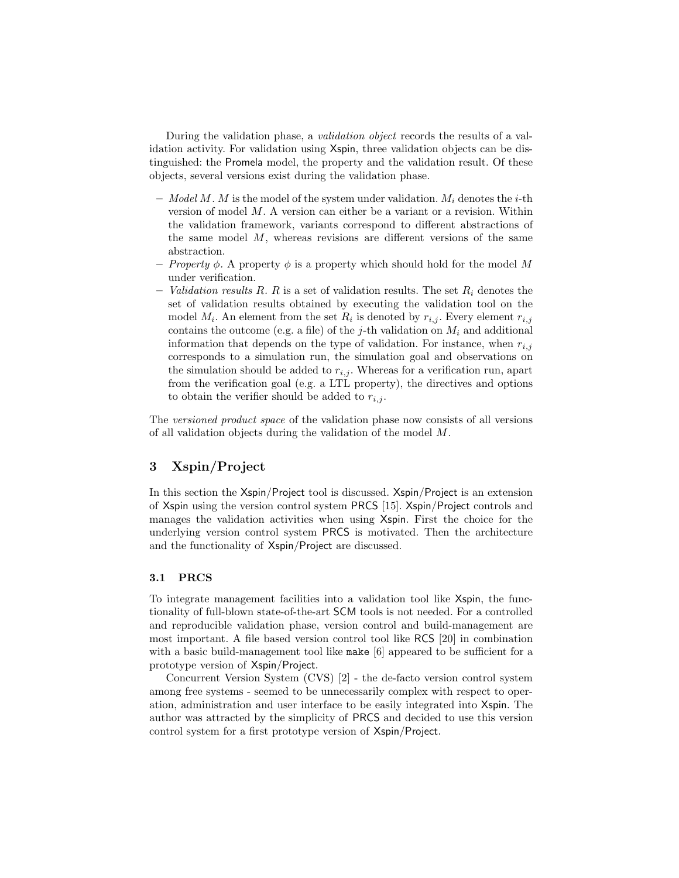During the validation phase, a *validation object* records the results of a validation activity. For validation using Xspin, three validation objects can be distinguished: the Promela model, the property and the validation result. Of these objects, several versions exist during the validation phase.

- $-$  Model M. M is the model of the system under validation.  $M_i$  denotes the *i*-th version of model M. A version can either be a variant or a revision. Within the validation framework, variants correspond to different abstractions of the same model  $M$ , whereas revisions are different versions of the same abstraction.
- Property  $\phi$ . A property  $\phi$  is a property which should hold for the model M under verification.
- **–** Validation results R. R is a set of validation results. The set R<sup>i</sup> denotes the set of validation results obtained by executing the validation tool on the model  $M_i$ . An element from the set  $R_i$  is denoted by  $r_{i,j}$ . Every element  $r_{i,j}$ contains the outcome (e.g. a file) of the j-th validation on  $M_i$  and additional information that depends on the type of validation. For instance, when  $r_{i,j}$ corresponds to a simulation run, the simulation goal and observations on the simulation should be added to  $r_{i,j}$ . Whereas for a verification run, apart from the verification goal (e.g. a LTL property), the directives and options to obtain the verifier should be added to  $r_{i,j}$ .

The versioned product space of the validation phase now consists of all versions of all validation objects during the validation of the model M.

# **3 Xspin/Project**

In this section the Xspin/Project tool is discussed. Xspin/Project is an extension of Xspin using the version control system PRCS [15]. Xspin/Project controls and manages the validation activities when using Xspin. First the choice for the underlying version control system PRCS is motivated. Then the architecture and the functionality of Xspin/Project are discussed.

### **3.1 PRCS**

To integrate management facilities into a validation tool like Xspin, the functionality of full-blown state-of-the-art SCM tools is not needed. For a controlled and reproducible validation phase, version control and build-management are most important. A file based version control tool like RCS [20] in combination with a basic build-management tool like make [6] appeared to be sufficient for a prototype version of Xspin/Project.

Concurrent Version System (CVS) [2] - the de-facto version control system among free systems - seemed to be unnecessarily complex with respect to operation, administration and user interface to be easily integrated into Xspin. The author was attracted by the simplicity of PRCS and decided to use this version control system for a first prototype version of Xspin/Project.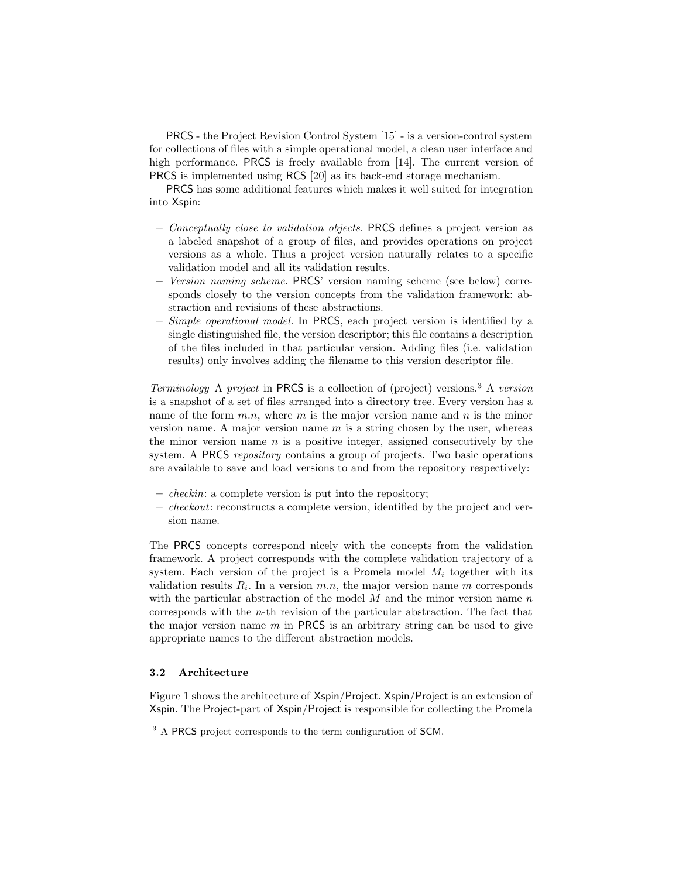PRCS - the Project Revision Control System [15] - is a version-control system for collections of files with a simple operational model, a clean user interface and high performance. PRCS is freely available from [14]. The current version of PRCS is implemented using RCS [20] as its back-end storage mechanism.

PRCS has some additional features which makes it well suited for integration into Xspin:

- **–** Conceptually close to validation objects. PRCS defines a project version as a labeled snapshot of a group of files, and provides operations on project versions as a whole. Thus a project version naturally relates to a specific validation model and all its validation results.
- **–** Version naming scheme. PRCS' version naming scheme (see below) corresponds closely to the version concepts from the validation framework: abstraction and revisions of these abstractions.
- **–** Simple operational model. In PRCS, each project version is identified by a single distinguished file, the version descriptor; this file contains a description of the files included in that particular version. Adding files (i.e. validation results) only involves adding the filename to this version descriptor file.

*Terminology* A *project* in PRCS is a collection of (project) versions.<sup>3</sup> A version is a snapshot of a set of files arranged into a directory tree. Every version has a name of the form  $m.n$ , where m is the major version name and n is the minor version name. A major version name  $m$  is a string chosen by the user, whereas the minor version name  $n$  is a positive integer, assigned consecutively by the system. A PRCS repository contains a group of projects. Two basic operations are available to save and load versions to and from the repository respectively:

- **–** checkin: a complete version is put into the repository;
- **–** checkout: reconstructs a complete version, identified by the project and version name.

The PRCS concepts correspond nicely with the concepts from the validation framework. A project corresponds with the complete validation trajectory of a system. Each version of the project is a Promela model  $M_i$  together with its validation results  $R_i$ . In a version  $m.n$ , the major version name m corresponds with the particular abstraction of the model  $M$  and the minor version name  $n$ corresponds with the n-th revision of the particular abstraction. The fact that the major version name  $m$  in PRCS is an arbitrary string can be used to give appropriate names to the different abstraction models.

### **3.2 Architecture**

Figure 1 shows the architecture of Xspin/Project. Xspin/Project is an extension of Xspin. The Project-part of Xspin/Project is responsible for collecting the Promela

<sup>&</sup>lt;sup>3</sup> A PRCS project corresponds to the term configuration of SCM.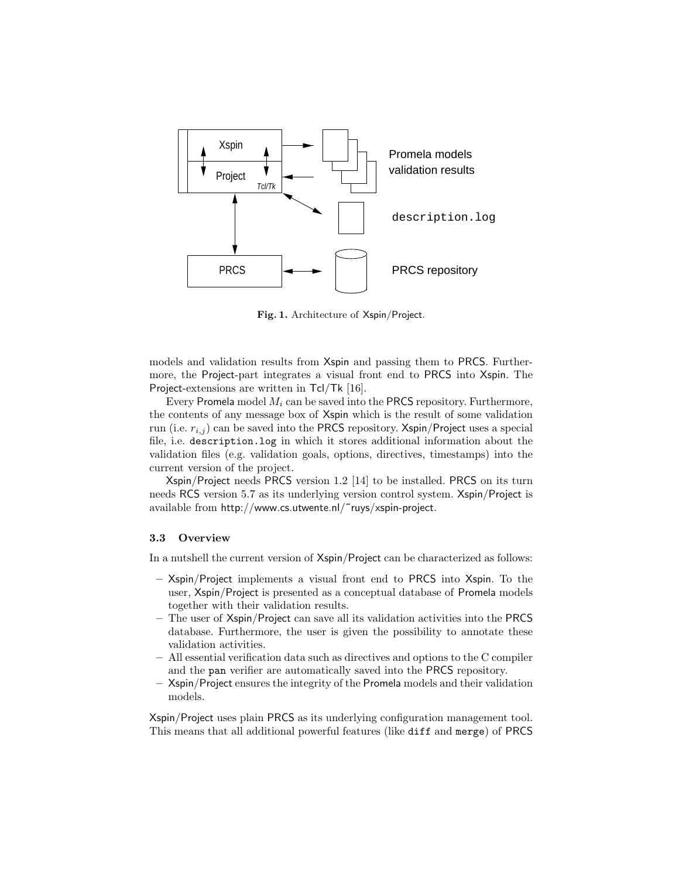

**Fig. 1.** Architecture of Xspin/Project.

models and validation results from Xspin and passing them to PRCS. Furthermore, the Project-part integrates a visual front end to PRCS into Xspin. The Project-extensions are written in Tcl/Tk [16].

Every Promela model  $M_i$  can be saved into the PRCS repository. Furthermore, the contents of any message box of Xspin which is the result of some validation run (i.e.  $r_{i,j}$ ) can be saved into the PRCS repository. Xspin/Project uses a special file, i.e. description.log in which it stores additional information about the validation files (e.g. validation goals, options, directives, timestamps) into the current version of the project.

Xspin/Project needs PRCS version 1.2 [14] to be installed. PRCS on its turn needs RCS version 5.7 as its underlying version control system. Xspin/Project is available from http://www.cs.utwente.nl/˜ruys/xspin-project.

#### **3.3 Overview**

In a nutshell the current version of Xspin/Project can be characterized as follows:

- **–** Xspin/Project implements a visual front end to PRCS into Xspin. To the user, Xspin/Project is presented as a conceptual database of Promela models together with their validation results.
- **–** The user of Xspin/Project can save all its validation activities into the PRCS database. Furthermore, the user is given the possibility to annotate these validation activities.
- **–** All essential verification data such as directives and options to the C compiler and the pan verifier are automatically saved into the PRCS repository.
- **–** Xspin/Project ensures the integrity of the Promela models and their validation models.

Xspin/Project uses plain PRCS as its underlying configuration management tool. This means that all additional powerful features (like diff and merge) of PRCS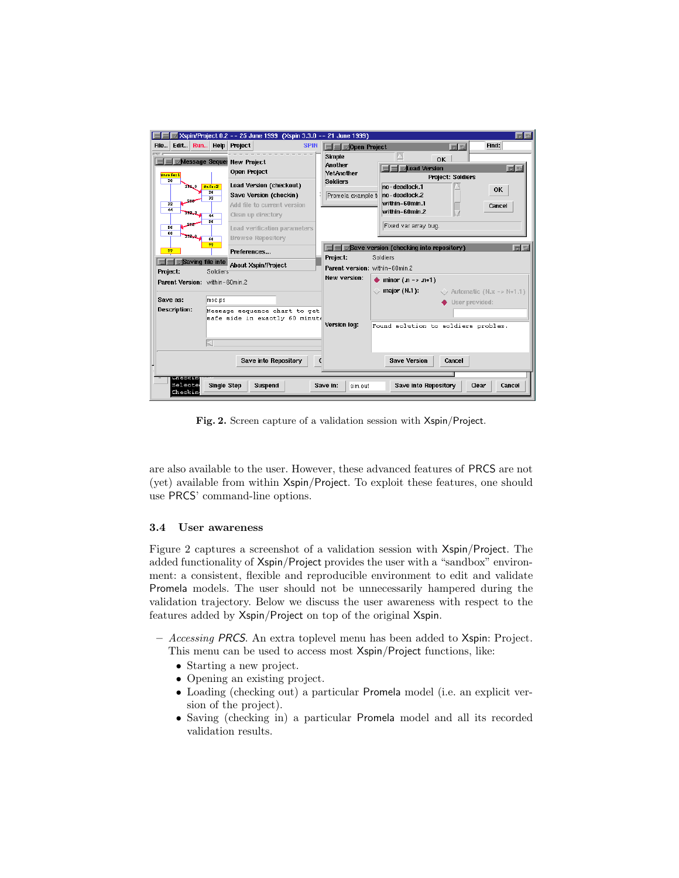| Xspin/Project 0.2 -- 25 June 1999 (Xspin 3.3.0 -- 21 June 1999) |                                                                     |                                       |                                                                    |
|-----------------------------------------------------------------|---------------------------------------------------------------------|---------------------------------------|--------------------------------------------------------------------|
| Edit. Run Help Project<br>File.                                 | <b>SPIN</b>                                                         | $\equiv$ $\equiv$ $\sim$ Open Project | Find:<br>同型                                                        |
| Message Sequer New Project                                      |                                                                     | Simple<br>Annther                     | 0K                                                                 |
| Unsafer1                                                        | <b>Open Project</b>                                                 | YetAnother                            | <b>Load Version</b><br>$\Box$                                      |
| 20<br>s <sub>a</sub> fe:2                                       | Load Version (checkout)                                             | Soldiers                              | <b>Project: Soldiers</b><br>no-deadlock.1                          |
| ™ ≀<br>20                                                       | Save Version (checkin)                                              | Promela example to                    | <b>OK</b><br>no-deadlock.2                                         |
| 32<br>32                                                        | Add file to current version                                         |                                       | within-60min.1<br>Cancel                                           |
| 44<br>$+$                                                       | Clean up directory                                                  |                                       | within-60min.2                                                     |
| 56<br>56                                                        | Load verification parameters                                        |                                       | Fixed var array bug                                                |
| 68<br>68                                                        | <b>Browse Repository</b>                                            |                                       |                                                                    |
| 77                                                              | 同型<br>$\equiv$ $\mathbb{Z}$ Save version (checking into repository) |                                       |                                                                    |
| 77                                                              | Preferences                                                         | Project:                              | Soldiers                                                           |
| Saving file into<br>Soldiers                                    | <b>About Xspin/Project</b>                                          | Parent version: within-60min.2        |                                                                    |
| Project:<br>Parent Version: within-60min.2                      |                                                                     | New version:                          | $\blacklozenge$ minor (.n -> .n+1)                                 |
|                                                                 |                                                                     |                                       | $\circ$ major (N.1):<br>$\leftrightarrow$ Automatic (N.x -> N+1.1) |
| Save as:<br>msc.ps                                              |                                                                     |                                       | User provided:                                                     |
| <b>Description:</b>                                             | Message sequence chart to get                                       |                                       |                                                                    |
|                                                                 | safe side in exactly 60 minute                                      |                                       |                                                                    |
|                                                                 |                                                                     | <b>Version log:</b>                   | Found solution to soldiers problem.                                |
|                                                                 |                                                                     |                                       |                                                                    |
|                                                                 |                                                                     |                                       |                                                                    |
| <b>Save into Repository</b><br><b>Save Version</b><br>Cancel    |                                                                     |                                       |                                                                    |
|                                                                 |                                                                     |                                       |                                                                    |
| uneerun<br><b>Single Step</b><br>Selecte<br>Checkin             | <b>Suspend</b>                                                      | Save in:<br>sim.out                   | Save into Repository<br>Clear<br>Cancel                            |

**Fig. 2.** Screen capture of a validation session with Xspin/Project.

are also available to the user. However, these advanced features of PRCS are not (yet) available from within Xspin/Project. To exploit these features, one should use PRCS' command-line options.

#### **3.4 User awareness**

Figure 2 captures a screenshot of a validation session with Xspin/Project. The added functionality of Xspin/Project provides the user with a "sandbox" environment: a consistent, flexible and reproducible environment to edit and validate Promela models. The user should not be unnecessarily hampered during the validation trajectory. Below we discuss the user awareness with respect to the features added by Xspin/Project on top of the original Xspin.

- **–** Accessing PRCS. An extra toplevel menu has been added to Xspin: Project. This menu can be used to access most Xspin/Project functions, like:
	- Starting a new project.
	- Opening an existing project.
	- Loading (checking out) a particular Promela model (i.e. an explicit version of the project).
	- Saving (checking in) a particular Promela model and all its recorded validation results.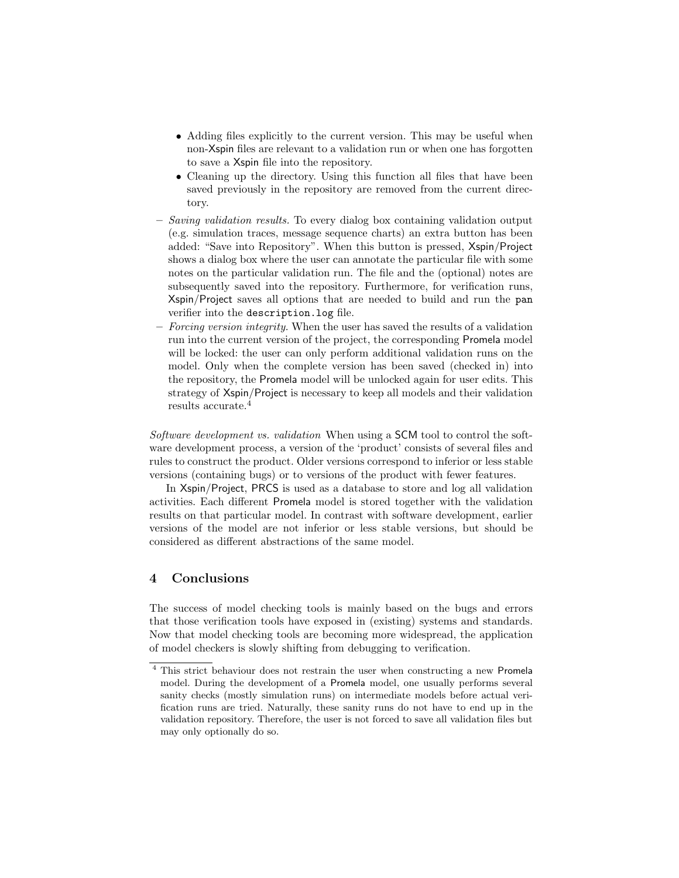- Adding files explicitly to the current version. This may be useful when non-Xspin files are relevant to a validation run or when one has forgotten to save a Xspin file into the repository.
- Cleaning up the directory. Using this function all files that have been saved previously in the repository are removed from the current directory.
- **–** Saving validation results. To every dialog box containing validation output (e.g. simulation traces, message sequence charts) an extra button has been added: "Save into Repository". When this button is pressed, Xspin/Project shows a dialog box where the user can annotate the particular file with some notes on the particular validation run. The file and the (optional) notes are subsequently saved into the repository. Furthermore, for verification runs, Xspin/Project saves all options that are needed to build and run the pan verifier into the description.log file.
- **–** Forcing version integrity. When the user has saved the results of a validation run into the current version of the project, the corresponding Promela model will be locked: the user can only perform additional validation runs on the model. Only when the complete version has been saved (checked in) into the repository, the Promela model will be unlocked again for user edits. This strategy of Xspin/Project is necessary to keep all models and their validation results accurate.<sup>4</sup>

Software development vs. validation When using a SCM tool to control the software development process, a version of the 'product' consists of several files and rules to construct the product. Older versions correspond to inferior or less stable versions (containing bugs) or to versions of the product with fewer features.

In Xspin/Project, PRCS is used as a database to store and log all validation activities. Each different Promela model is stored together with the validation results on that particular model. In contrast with software development, earlier versions of the model are not inferior or less stable versions, but should be considered as different abstractions of the same model.

# **4 Conclusions**

The success of model checking tools is mainly based on the bugs and errors that those verification tools have exposed in (existing) systems and standards. Now that model checking tools are becoming more widespread, the application of model checkers is slowly shifting from debugging to verification.

<sup>&</sup>lt;sup>4</sup> This strict behaviour does not restrain the user when constructing a new Promela model. During the development of a Promela model, one usually performs several sanity checks (mostly simulation runs) on intermediate models before actual verification runs are tried. Naturally, these sanity runs do not have to end up in the validation repository. Therefore, the user is not forced to save all validation files but may only optionally do so.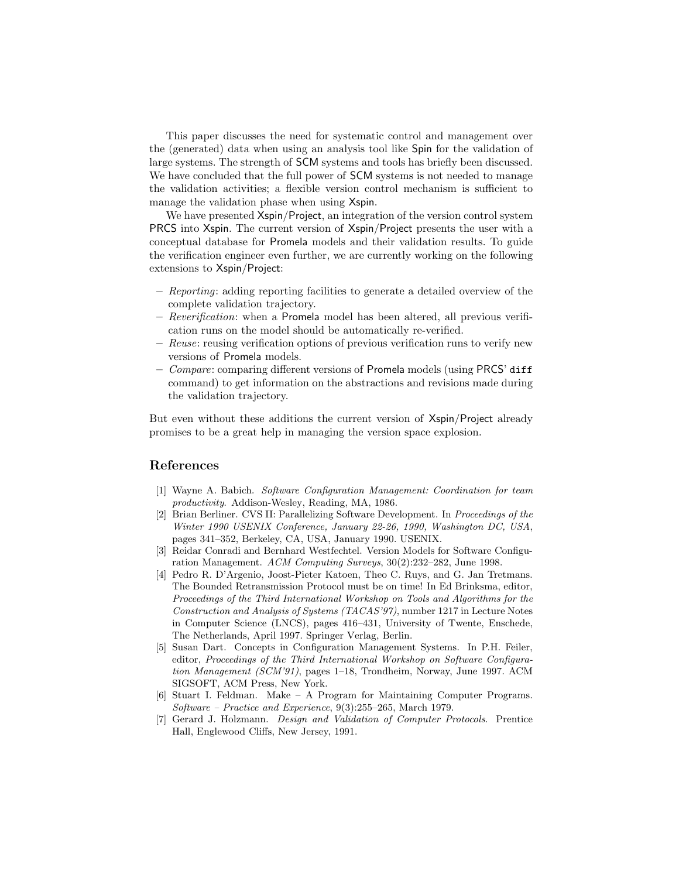This paper discusses the need for systematic control and management over the (generated) data when using an analysis tool like Spin for the validation of large systems. The strength of SCM systems and tools has briefly been discussed. We have concluded that the full power of SCM systems is not needed to manage the validation activities; a flexible version control mechanism is sufficient to manage the validation phase when using Xspin.

We have presented Xspin/Project, an integration of the version control system PRCS into Xspin. The current version of Xspin/Project presents the user with a conceptual database for Promela models and their validation results. To guide the verification engineer even further, we are currently working on the following extensions to Xspin/Project:

- **–** Reporting: adding reporting facilities to generate a detailed overview of the complete validation trajectory.
- **–** Reverification: when a Promela model has been altered, all previous verification runs on the model should be automatically re-verified.
- **–** Reuse: reusing verification options of previous verification runs to verify new versions of Promela models.
- **–** Compare: comparing different versions of Promela models (using PRCS' diff command) to get information on the abstractions and revisions made during the validation trajectory.

But even without these additions the current version of Xspin/Project already promises to be a great help in managing the version space explosion.

### **References**

- [1] Wayne A. Babich. Software Configuration Management: Coordination for team productivity. Addison-Wesley, Reading, MA, 1986.
- [2] Brian Berliner. CVS II: Parallelizing Software Development. In Proceedings of the Winter 1990 USENIX Conference, January 22-26, 1990, Washington DC, USA, pages 341–352, Berkeley, CA, USA, January 1990. USENIX.
- [3] Reidar Conradi and Bernhard Westfechtel. Version Models for Software Configuration Management. ACM Computing Surveys, 30(2):232–282, June 1998.
- [4] Pedro R. D'Argenio, Joost-Pieter Katoen, Theo C. Ruys, and G. Jan Tretmans. The Bounded Retransmission Protocol must be on time! In Ed Brinksma, editor, Proceedings of the Third International Workshop on Tools and Algorithms for the Construction and Analysis of Systems (TACAS'97), number 1217 in Lecture Notes in Computer Science (LNCS), pages 416–431, University of Twente, Enschede, The Netherlands, April 1997. Springer Verlag, Berlin.
- [5] Susan Dart. Concepts in Configuration Management Systems. In P.H. Feiler, editor, Proceedings of the Third International Workshop on Software Configuration Management (SCM'91), pages 1–18, Trondheim, Norway, June 1997. ACM SIGSOFT, ACM Press, New York.
- [6] Stuart I. Feldman. Make A Program for Maintaining Computer Programs. Software – Practice and Experience, 9(3):255–265, March 1979.
- [7] Gerard J. Holzmann. Design and Validation of Computer Protocols. Prentice Hall, Englewood Cliffs, New Jersey, 1991.